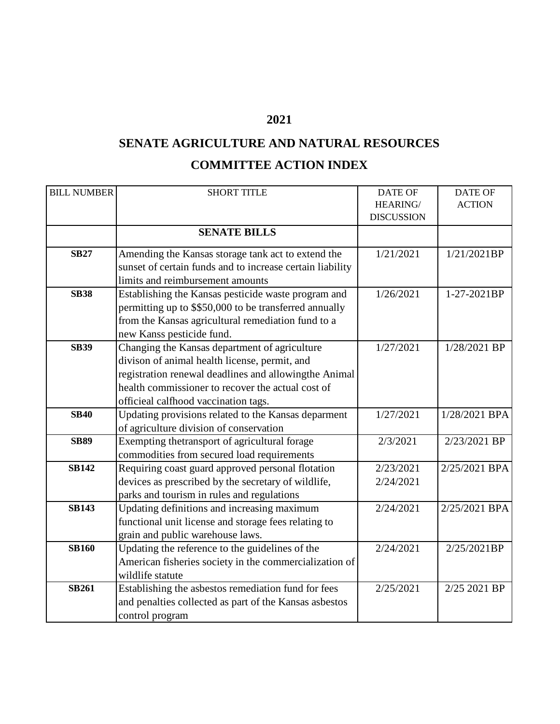## **2021**

## **SENATE AGRICULTURE AND NATURAL RESOURCES COMMITTEE ACTION INDEX**

| <b>BILL NUMBER</b> | <b>SHORT TITLE</b>                                        | <b>DATE OF</b>    | <b>DATE OF</b> |
|--------------------|-----------------------------------------------------------|-------------------|----------------|
|                    |                                                           | HEARING/          | <b>ACTION</b>  |
|                    |                                                           | <b>DISCUSSION</b> |                |
|                    | <b>SENATE BILLS</b>                                       |                   |                |
| <b>SB27</b>        | Amending the Kansas storage tank act to extend the        | 1/21/2021         | 1/21/2021BP    |
|                    | sunset of certain funds and to increase certain liability |                   |                |
|                    | limits and reimbursement amounts                          |                   |                |
| <b>SB38</b>        | Establishing the Kansas pesticide waste program and       | 1/26/2021         | 1-27-2021BP    |
|                    | permitting up to \$\$50,000 to be transferred annually    |                   |                |
|                    | from the Kansas agricultural remediation fund to a        |                   |                |
|                    | new Kanss pesticide fund.                                 |                   |                |
| <b>SB39</b>        | Changing the Kansas department of agriculture             | 1/27/2021         | 1/28/2021 BP   |
|                    | divison of animal health license, permit, and             |                   |                |
|                    | registration renewal deadlines and allowingthe Animal     |                   |                |
|                    | health commissioner to recover the actual cost of         |                   |                |
|                    | officieal calfhood vaccination tags.                      |                   |                |
| <b>SB40</b>        | Updating provisions related to the Kansas deparment       | 1/27/2021         | 1/28/2021 BPA  |
|                    | of agriculture division of conservation                   |                   |                |
| <b>SB89</b>        | Exempting thetransport of agricultural forage             | 2/3/2021          | 2/23/2021 BP   |
|                    | commodities from secured load requirements                |                   |                |
| <b>SB142</b>       | Requiring coast guard approved personal flotation         | 2/23/2021         | 2/25/2021 BPA  |
|                    | devices as prescribed by the secretary of wildlife,       | 2/24/2021         |                |
|                    | parks and tourism in rules and regulations                |                   |                |
| <b>SB143</b>       | Updating definitions and increasing maximum               | 2/24/2021         | 2/25/2021 BPA  |
|                    | functional unit license and storage fees relating to      |                   |                |
|                    | grain and public warehouse laws.                          |                   |                |
| <b>SB160</b>       | Updating the reference to the guidelines of the           | 2/24/2021         | 2/25/2021BP    |
|                    | American fisheries society in the commercialization of    |                   |                |
|                    | wildlife statute                                          |                   |                |
| <b>SB261</b>       | Establishing the asbestos remediation fund for fees       | 2/25/2021         | 2/25 2021 BP   |
|                    | and penalties collected as part of the Kansas asbestos    |                   |                |
|                    | control program                                           |                   |                |